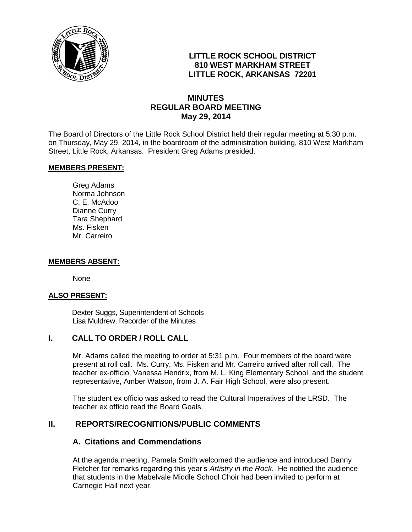

# **LITTLE ROCK SCHOOL DISTRICT 810 WEST MARKHAM STREET LITTLE ROCK, ARKANSAS 72201**

# **MINUTES REGULAR BOARD MEETING May 29, 2014**

The Board of Directors of the Little Rock School District held their regular meeting at 5:30 p.m. on Thursday, May 29, 2014, in the boardroom of the administration building, 810 West Markham Street, Little Rock, Arkansas. President Greg Adams presided.

### **MEMBERS PRESENT:**

Greg Adams Norma Johnson C. E. McAdoo Dianne Curry Tara Shephard Ms. Fisken Mr. Carreiro

#### **MEMBERS ABSENT:**

None

### **ALSO PRESENT:**

 Dexter Suggs, Superintendent of Schools Lisa Muldrew, Recorder of the Minutes

# **I. CALL TO ORDER / ROLL CALL**

Mr. Adams called the meeting to order at 5:31 p.m. Four members of the board were present at roll call. Ms. Curry, Ms. Fisken and Mr. Carreiro arrived after roll call. The teacher ex-officio, Vanessa Hendrix, from M. L. King Elementary School, and the student representative, Amber Watson, from J. A. Fair High School, were also present.

The student ex officio was asked to read the Cultural Imperatives of the LRSD. The teacher ex officio read the Board Goals.

### **II. REPORTS/RECOGNITIONS/PUBLIC COMMENTS**

### **A. Citations and Commendations**

At the agenda meeting, Pamela Smith welcomed the audience and introduced Danny Fletcher for remarks regarding this year's *Artistry in the Rock*. He notified the audience that students in the Mabelvale Middle School Choir had been invited to perform at Carnegie Hall next year.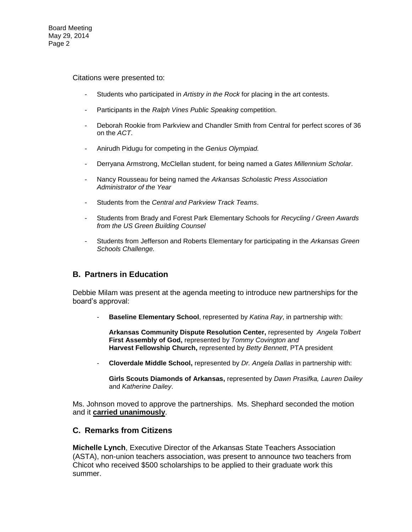Board Meeting May 29, 2014 Page 2

Citations were presented to:

- Students who participated in *Artistry in the Rock* for placing in the art contests.
- Participants in the *Ralph Vines Public Speaking* competition.
- Deborah Rookie from Parkview and Chandler Smith from Central for perfect scores of 36 on the *ACT*.
- Anirudh Pidugu for competing in the *Genius Olympiad.*
- Derryana Armstrong, McClellan student, for being named a *Gates Millennium Scholar*.
- Nancy Rousseau for being named the *Arkansas Scholastic Press Association Administrator of the Year*
- Students from the *Central and Parkview Track Teams*.
- Students from Brady and Forest Park Elementary Schools for *Recycling / Green Awards from the US Green Building Counsel*
- Students from Jefferson and Roberts Elementary for participating in the *Arkansas Green Schools Challenge.*

### **B. Partners in Education**

Debbie Milam was present at the agenda meeting to introduce new partnerships for the board's approval:

**Baseline Elementary School**, represented by *Katina Ray*, in partnership with:

**Arkansas Community Dispute Resolution Center,** represented by *Angela Tolbert*  **First Assembly of God,** represented by *Tommy Covington and*  **Harvest Fellowship Church,** represented by *Betty Bennett*, PTA president

- **Cloverdale Middle School,** represented by *Dr. Angela Dallas* in partnership with:

**Girls Scouts Diamonds of Arkansas,** represented by *Dawn Prasifka, Lauren Dailey* and *Katherine Dailey*.

Ms. Johnson moved to approve the partnerships. Ms. Shephard seconded the motion and it **carried unanimously**.

#### **C. Remarks from Citizens**

**Michelle Lynch**, Executive Director of the Arkansas State Teachers Association (ASTA), non-union teachers association, was present to announce two teachers from Chicot who received \$500 scholarships to be applied to their graduate work this summer.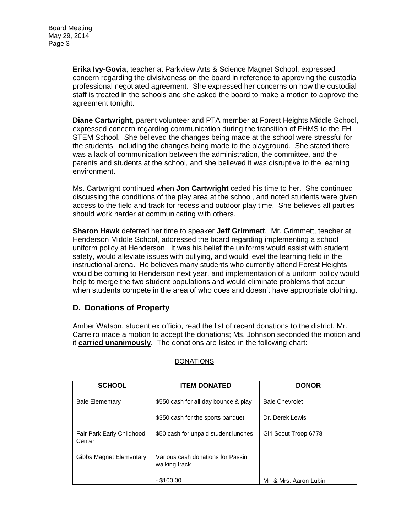**Erika Ivy-Govia**, teacher at Parkview Arts & Science Magnet School, expressed concern regarding the divisiveness on the board in reference to approving the custodial professional negotiated agreement. She expressed her concerns on how the custodial staff is treated in the schools and she asked the board to make a motion to approve the agreement tonight.

**Diane Cartwright**, parent volunteer and PTA member at Forest Heights Middle School, expressed concern regarding communication during the transition of FHMS to the FH STEM School. She believed the changes being made at the school were stressful for the students, including the changes being made to the playground. She stated there was a lack of communication between the administration, the committee, and the parents and students at the school, and she believed it was disruptive to the learning environment.

Ms. Cartwright continued when **Jon Cartwright** ceded his time to her. She continued discussing the conditions of the play area at the school, and noted students were given access to the field and track for recess and outdoor play time. She believes all parties should work harder at communicating with others.

**Sharon Hawk** deferred her time to speaker **Jeff Grimmett**. Mr. Grimmett, teacher at Henderson Middle School, addressed the board regarding implementing a school uniform policy at Henderson. It was his belief the uniforms would assist with student safety, would alleviate issues with bullying, and would level the learning field in the instructional arena. He believes many students who currently attend Forest Heights would be coming to Henderson next year, and implementation of a uniform policy would help to merge the two student populations and would eliminate problems that occur when students compete in the area of who does and doesn't have appropriate clothing.

# **D. Donations of Property**

Amber Watson, student ex officio, read the list of recent donations to the district. Mr. Carreiro made a motion to accept the donations; Ms. Johnson seconded the motion and it **carried unanimously**. The donations are listed in the following chart:

| <b>SCHOOL</b>                       | <b>ITEM DONATED</b>                                 | <b>DONOR</b>           |
|-------------------------------------|-----------------------------------------------------|------------------------|
| <b>Bale Elementary</b>              | \$550 cash for all day bounce & play                | <b>Bale Chevrolet</b>  |
|                                     | \$350 cash for the sports banquet                   | Dr. Derek Lewis        |
| Fair Park Early Childhood<br>Center | \$50 cash for unpaid student lunches                | Girl Scout Troop 6778  |
| Gibbs Magnet Elementary             | Various cash donations for Passini<br>walking track |                        |
|                                     | $-$ \$100.00                                        | Mr. & Mrs. Aaron Lubin |

### **DONATIONS**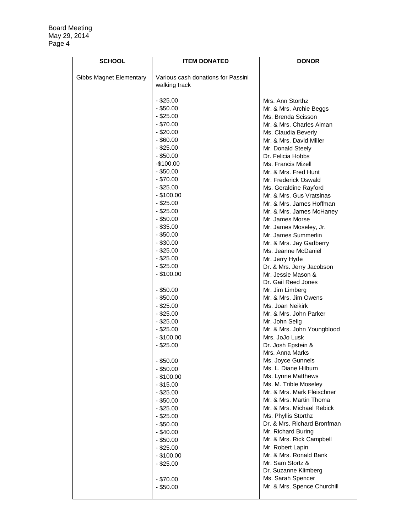Board Meeting May 29, 2014 Page 4

| <b>SCHOOL</b>           | <b>ITEM DONATED</b>                | <b>DONOR</b>                |
|-------------------------|------------------------------------|-----------------------------|
|                         |                                    |                             |
| Gibbs Magnet Elementary | Various cash donations for Passini |                             |
|                         | walking track                      |                             |
|                         |                                    |                             |
|                         | $-$ \$25.00                        | Mrs. Ann Storthz            |
|                         | $-$ \$50.00                        | Mr. & Mrs. Archie Beggs     |
|                         | $-$ \$25.00                        | Ms. Brenda Scisson          |
|                         | $-$ \$70.00                        | Mr. & Mrs. Charles Alman    |
|                         | $-$ \$20.00                        | Ms. Claudia Beverly         |
|                         | $-$ \$60.00                        | Mr. & Mrs. David Miller     |
|                         | $-$ \$25.00                        | Mr. Donald Steely           |
|                         | $-$ \$50.00                        | Dr. Felicia Hobbs           |
|                         | $-$100.00$                         | Ms. Francis Mizell          |
|                         | $-$ \$50.00                        | Mr. & Mrs. Fred Hunt        |
|                         | $-$ \$70.00                        | Mr. Frederick Oswald        |
|                         | $-$ \$25.00                        | Ms. Geraldine Rayford       |
|                         | $-$ \$100.00                       | Mr. & Mrs. Gus Vratsinas    |
|                         | $-$ \$25.00                        | Mr. & Mrs. James Hoffman    |
|                         | $-$ \$25.00                        | Mr. & Mrs. James McHaney    |
|                         | $-$ \$50.00                        | Mr. James Morse             |
|                         | $-$ \$35.00                        | Mr. James Moseley, Jr.      |
|                         | $-$ \$50.00                        | Mr. James Summerlin         |
|                         | $-$ \$30.00                        | Mr. & Mrs. Jay Gadberry     |
|                         | $-$ \$25.00                        | Ms. Jeanne McDaniel         |
|                         | $-$ \$25.00                        | Mr. Jerry Hyde              |
|                         | $-$ \$25.00                        | Dr. & Mrs. Jerry Jacobson   |
|                         | $-$ \$100.00                       | Mr. Jessie Mason &          |
|                         |                                    | Dr. Gail Reed Jones         |
|                         | $-$ \$50.00                        | Mr. Jim Limberg             |
|                         | $-$ \$50.00                        | Mr. & Mrs. Jim Owens        |
|                         | $-$ \$25.00                        | Ms. Joan Neikirk            |
|                         | $-$ \$25.00                        | Mr. & Mrs. John Parker      |
|                         | $-$ \$25.00                        | Mr. John Selig              |
|                         | $-$ \$25.00                        | Mr. & Mrs. John Youngblood  |
|                         | $-$ \$100.00                       | Mrs. JoJo Lusk              |
|                         | $-$ \$25.00                        | Dr. Josh Epstein &          |
|                         |                                    | Mrs. Anna Marks             |
|                         | $-$ \$50.00                        | Ms. Joyce Gunnels           |
|                         | $-$ \$50.00                        | Ms. L. Diane Hilburn        |
|                         | $-$ \$100.00                       | Ms. Lynne Matthews          |
|                         | $-$ \$15.00                        | Ms. M. Trible Moseley       |
|                         | $-$ \$25.00                        | Mr. & Mrs. Mark Fleischner  |
|                         | $-$ \$50.00                        | Mr. & Mrs. Martin Thoma     |
|                         | $-$ \$25.00                        | Mr. & Mrs. Michael Rebick   |
|                         | $-$ \$25.00                        | Ms. Phyllis Storthz         |
|                         | $-$ \$50.00                        | Dr. & Mrs. Richard Bronfman |
|                         | $-$ \$40.00                        | Mr. Richard Buring          |
|                         | $-$ \$50.00                        | Mr. & Mrs. Rick Campbell    |
|                         | $-$ \$25.00                        | Mr. Robert Lapin            |
|                         | $-$ \$100.00                       | Mr. & Mrs. Ronald Bank      |
|                         | $-$ \$25.00                        | Mr. Sam Stortz &            |
|                         |                                    | Dr. Suzanne Klimberg        |
|                         | $-$ \$70.00                        | Ms. Sarah Spencer           |
|                         | $-$ \$50.00                        | Mr. & Mrs. Spence Churchill |
|                         |                                    |                             |
|                         |                                    |                             |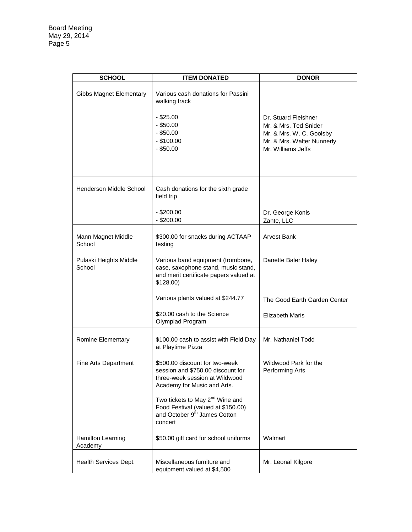| <b>SCHOOL</b>                    | <b>ITEM DONATED</b>                                                                                                                      | <b>DONOR</b>                                                                                                                  |
|----------------------------------|------------------------------------------------------------------------------------------------------------------------------------------|-------------------------------------------------------------------------------------------------------------------------------|
| Gibbs Magnet Elementary          | Various cash donations for Passini<br>walking track<br>$-$ \$25.00<br>$-$ \$50.00<br>$-$ \$50.00<br>$-$ \$100.00<br>$-$ \$50.00          | Dr. Stuard Fleishner<br>Mr. & Mrs. Ted Snider<br>Mr. & Mrs. W. C. Goolsby<br>Mr. & Mrs. Walter Nunnerly<br>Mr. Williams Jeffs |
| <b>Henderson Middle School</b>   | Cash donations for the sixth grade<br>field trip                                                                                         |                                                                                                                               |
|                                  | $-$ \$200.00<br>$-$ \$200.00                                                                                                             | Dr. George Konis<br>Zante, LLC                                                                                                |
| Mann Magnet Middle<br>School     | \$300.00 for snacks during ACTAAP<br>testing                                                                                             | Arvest Bank                                                                                                                   |
| Pulaski Heights Middle<br>School | Various band equipment (trombone,<br>case, saxophone stand, music stand,<br>and merit certificate papers valued at<br>$$128.00$ )        | Danette Baler Haley                                                                                                           |
|                                  | Various plants valued at \$244.77                                                                                                        | The Good Earth Garden Center                                                                                                  |
|                                  | \$20.00 cash to the Science<br>Olympiad Program                                                                                          | <b>Elizabeth Maris</b>                                                                                                        |
| Romine Elementary                | \$100.00 cash to assist with Field Day<br>at Playtime Pizza                                                                              | Mr. Nathaniel Todd                                                                                                            |
| Fine Arts Department             | \$500.00 discount for two-week<br>session and \$750.00 discount for<br>three-week session at Wildwood<br>Academy for Music and Arts.     | Wildwood Park for the<br>Performing Arts                                                                                      |
|                                  | Two tickets to May 2 <sup>nd</sup> Wine and<br>Food Festival (valued at \$150.00)<br>and October 9 <sup>th</sup> James Cotton<br>concert |                                                                                                                               |
| Hamilton Learning<br>Academy     | \$50.00 gift card for school uniforms                                                                                                    | Walmart                                                                                                                       |
| Health Services Dept.            | Miscellaneous furniture and<br>equipment valued at \$4,500                                                                               | Mr. Leonal Kilgore                                                                                                            |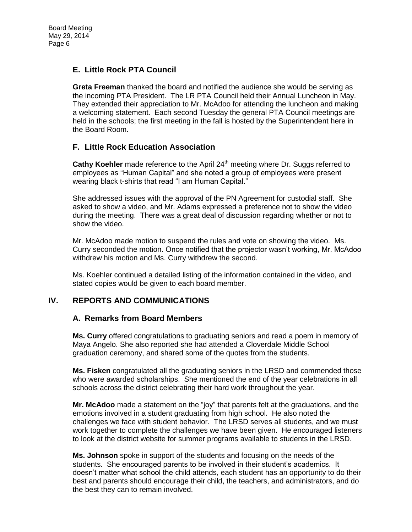# **E. Little Rock PTA Council**

**Greta Freeman** thanked the board and notified the audience she would be serving as the incoming PTA President. The LR PTA Council held their Annual Luncheon in May. They extended their appreciation to Mr. McAdoo for attending the luncheon and making a welcoming statement. Each second Tuesday the general PTA Council meetings are held in the schools; the first meeting in the fall is hosted by the Superintendent here in the Board Room.

# **F. Little Rock Education Association**

**Cathy Koehler** made reference to the April 24<sup>th</sup> meeting where Dr. Suggs referred to employees as "Human Capital" and she noted a group of employees were present wearing black t-shirts that read "I am Human Capital."

She addressed issues with the approval of the PN Agreement for custodial staff. She asked to show a video, and Mr. Adams expressed a preference not to show the video during the meeting. There was a great deal of discussion regarding whether or not to show the video.

Mr. McAdoo made motion to suspend the rules and vote on showing the video. Ms. Curry seconded the motion. Once notified that the projector wasn't working, Mr. McAdoo withdrew his motion and Ms. Curry withdrew the second.

Ms. Koehler continued a detailed listing of the information contained in the video, and stated copies would be given to each board member.

# **IV. REPORTS AND COMMUNICATIONS**

# **A. Remarks from Board Members**

**Ms. Curry** offered congratulations to graduating seniors and read a poem in memory of Maya Angelo. She also reported she had attended a Cloverdale Middle School graduation ceremony, and shared some of the quotes from the students.

**Ms. Fisken** congratulated all the graduating seniors in the LRSD and commended those who were awarded scholarships. She mentioned the end of the year celebrations in all schools across the district celebrating their hard work throughout the year.

**Mr. McAdoo** made a statement on the "joy" that parents felt at the graduations, and the emotions involved in a student graduating from high school. He also noted the challenges we face with student behavior. The LRSD serves all students, and we must work together to complete the challenges we have been given. He encouraged listeners to look at the district website for summer programs available to students in the LRSD.

**Ms. Johnson** spoke in support of the students and focusing on the needs of the students. She encouraged parents to be involved in their student's academics. It doesn't matter what school the child attends, each student has an opportunity to do their best and parents should encourage their child, the teachers, and administrators, and do the best they can to remain involved.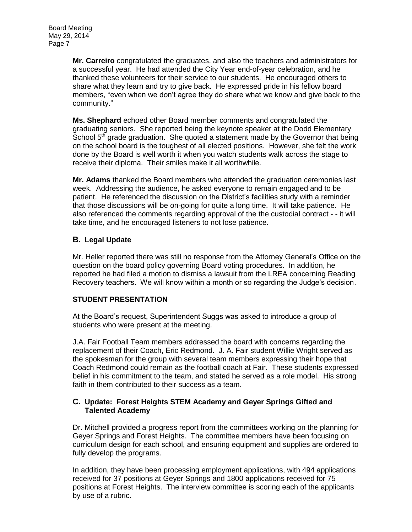**Mr. Carreiro** congratulated the graduates, and also the teachers and administrators for a successful year. He had attended the City Year end-of-year celebration, and he thanked these volunteers for their service to our students. He encouraged others to share what they learn and try to give back. He expressed pride in his fellow board members, "even when we don't agree they do share what we know and give back to the community."

**Ms. Shephard** echoed other Board member comments and congratulated the graduating seniors. She reported being the keynote speaker at the Dodd Elementary School 5<sup>th</sup> grade graduation. She guoted a statement made by the Governor that being on the school board is the toughest of all elected positions. However, she felt the work done by the Board is well worth it when you watch students walk across the stage to receive their diploma. Their smiles make it all worthwhile.

**Mr. Adams** thanked the Board members who attended the graduation ceremonies last week. Addressing the audience, he asked everyone to remain engaged and to be patient. He referenced the discussion on the District's facilities study with a reminder that those discussions will be on-going for quite a long time. It will take patience. He also referenced the comments regarding approval of the the custodial contract - - it will take time, and he encouraged listeners to not lose patience.

# **B. Legal Update**

Mr. Heller reported there was still no response from the Attorney General's Office on the question on the board policy governing Board voting procedures. In addition, he reported he had filed a motion to dismiss a lawsuit from the LREA concerning Reading Recovery teachers. We will know within a month or so regarding the Judge's decision.

# **STUDENT PRESENTATION**

At the Board's request, Superintendent Suggs was asked to introduce a group of students who were present at the meeting.

J.A. Fair Football Team members addressed the board with concerns regarding the replacement of their Coach, Eric Redmond. J. A. Fair student Willie Wright served as the spokesman for the group with several team members expressing their hope that Coach Redmond could remain as the football coach at Fair. These students expressed belief in his commitment to the team, and stated he served as a role model. His strong faith in them contributed to their success as a team.

### **C. Update: Forest Heights STEM Academy and Geyer Springs Gifted and Talented Academy**

Dr. Mitchell provided a progress report from the committees working on the planning for Geyer Springs and Forest Heights. The committee members have been focusing on curriculum design for each school, and ensuring equipment and supplies are ordered to fully develop the programs.

In addition, they have been processing employment applications, with 494 applications received for 37 positions at Geyer Springs and 1800 applications received for 75 positions at Forest Heights. The interview committee is scoring each of the applicants by use of a rubric.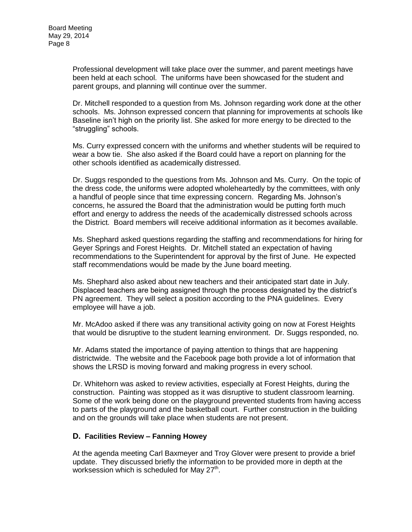Professional development will take place over the summer, and parent meetings have been held at each school. The uniforms have been showcased for the student and parent groups, and planning will continue over the summer.

Dr. Mitchell responded to a question from Ms. Johnson regarding work done at the other schools. Ms. Johnson expressed concern that planning for improvements at schools like Baseline isn't high on the priority list. She asked for more energy to be directed to the "struggling" schools.

Ms. Curry expressed concern with the uniforms and whether students will be required to wear a bow tie. She also asked if the Board could have a report on planning for the other schools identified as academically distressed.

Dr. Suggs responded to the questions from Ms. Johnson and Ms. Curry. On the topic of the dress code, the uniforms were adopted wholeheartedly by the committees, with only a handful of people since that time expressing concern. Regarding Ms. Johnson's concerns, he assured the Board that the administration would be putting forth much effort and energy to address the needs of the academically distressed schools across the District. Board members will receive additional information as it becomes available.

Ms. Shephard asked questions regarding the staffing and recommendations for hiring for Geyer Springs and Forest Heights. Dr. Mitchell stated an expectation of having recommendations to the Superintendent for approval by the first of June. He expected staff recommendations would be made by the June board meeting.

Ms. Shephard also asked about new teachers and their anticipated start date in July. Displaced teachers are being assigned through the process designated by the district's PN agreement. They will select a position according to the PNA guidelines. Every employee will have a job.

Mr. McAdoo asked if there was any transitional activity going on now at Forest Heights that would be disruptive to the student learning environment. Dr. Suggs responded, no.

Mr. Adams stated the importance of paying attention to things that are happening districtwide. The website and the Facebook page both provide a lot of information that shows the LRSD is moving forward and making progress in every school.

Dr. Whitehorn was asked to review activities, especially at Forest Heights, during the construction. Painting was stopped as it was disruptive to student classroom learning. Some of the work being done on the playground prevented students from having access to parts of the playground and the basketball court. Further construction in the building and on the grounds will take place when students are not present.

### **D. Facilities Review – Fanning Howey**

At the agenda meeting Carl Baxmeyer and Troy Glover were present to provide a brief update. They discussed briefly the information to be provided more in depth at the worksession which is scheduled for May 27<sup>th</sup>.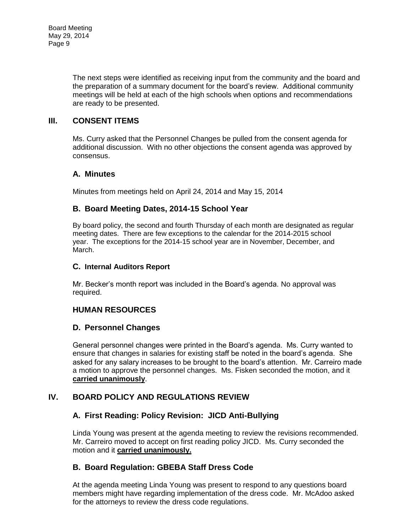The next steps were identified as receiving input from the community and the board and the preparation of a summary document for the board's review. Additional community meetings will be held at each of the high schools when options and recommendations are ready to be presented.

# **III. CONSENT ITEMS**

Ms. Curry asked that the Personnel Changes be pulled from the consent agenda for additional discussion. With no other objections the consent agenda was approved by consensus.

# **A. Minutes**

Minutes from meetings held on April 24, 2014 and May 15, 2014

# **B. Board Meeting Dates, 2014-15 School Year**

By board policy, the second and fourth Thursday of each month are designated as regular meeting dates. There are few exceptions to the calendar for the 2014-2015 school year. The exceptions for the 2014-15 school year are in November, December, and March.

### **C. Internal Auditors Report**

Mr. Becker's month report was included in the Board's agenda. No approval was required.

# **HUMAN RESOURCES**

# **D. Personnel Changes**

General personnel changes were printed in the Board's agenda. Ms. Curry wanted to ensure that changes in salaries for existing staff be noted in the board's agenda. She asked for any salary increases to be brought to the board's attention. Mr. Carreiro made a motion to approve the personnel changes. Ms. Fisken seconded the motion, and it **carried unanimously**.

# **IV. BOARD POLICY AND REGULATIONS REVIEW**

# **A. First Reading: Policy Revision: JICD Anti-Bullying**

Linda Young was present at the agenda meeting to review the revisions recommended. Mr. Carreiro moved to accept on first reading policy JICD. Ms. Curry seconded the motion and it **carried unanimously.**

# **B. Board Regulation: GBEBA Staff Dress Code**

At the agenda meeting Linda Young was present to respond to any questions board members might have regarding implementation of the dress code. Mr. McAdoo asked for the attorneys to review the dress code regulations.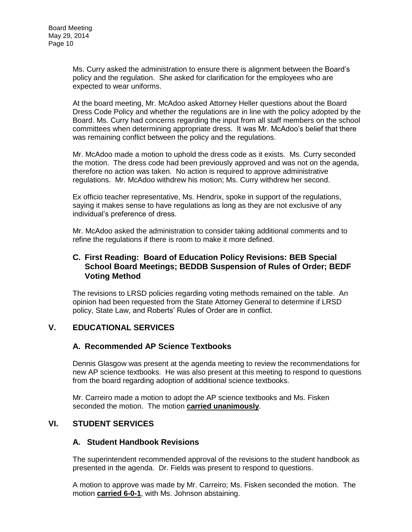Ms. Curry asked the administration to ensure there is alignment between the Board's policy and the regulation. She asked for clarification for the employees who are expected to wear uniforms.

At the board meeting, Mr. McAdoo asked Attorney Heller questions about the Board Dress Code Policy and whether the regulations are in line with the policy adopted by the Board. Ms. Curry had concerns regarding the input from all staff members on the school committees when determining appropriate dress. It was Mr. McAdoo's belief that there was remaining conflict between the policy and the regulations.

Mr. McAdoo made a motion to uphold the dress code as it exists. Ms. Curry seconded the motion. The dress code had been previously approved and was not on the agenda, therefore no action was taken. No action is required to approve administrative regulations. Mr. McAdoo withdrew his motion; Ms. Curry withdrew her second.

Ex officio teacher representative, Ms. Hendrix, spoke in support of the regulations, saying it makes sense to have regulations as long as they are not exclusive of any individual's preference of dress.

Mr. McAdoo asked the administration to consider taking additional comments and to refine the regulations if there is room to make it more defined.

### **C. First Reading: Board of Education Policy Revisions: BEB Special School Board Meetings; BEDDB Suspension of Rules of Order; BEDF Voting Method**

The revisions to LRSD policies regarding voting methods remained on the table. An opinion had been requested from the State Attorney General to determine if LRSD policy, State Law, and Roberts' Rules of Order are in conflict.

# **V. EDUCATIONAL SERVICES**

# **A. Recommended AP Science Textbooks**

Dennis Glasgow was present at the agenda meeting to review the recommendations for new AP science textbooks. He was also present at this meeting to respond to questions from the board regarding adoption of additional science textbooks.

Mr. Carreiro made a motion to adopt the AP science textbooks and Ms. Fisken seconded the motion. The motion **carried unanimously**.

# **VI. STUDENT SERVICES**

### **A. Student Handbook Revisions**

The superintendent recommended approval of the revisions to the student handbook as presented in the agenda. Dr. Fields was present to respond to questions.

A motion to approve was made by Mr. Carreiro; Ms. Fisken seconded the motion. The motion **carried 6-0-1**, with Ms. Johnson abstaining.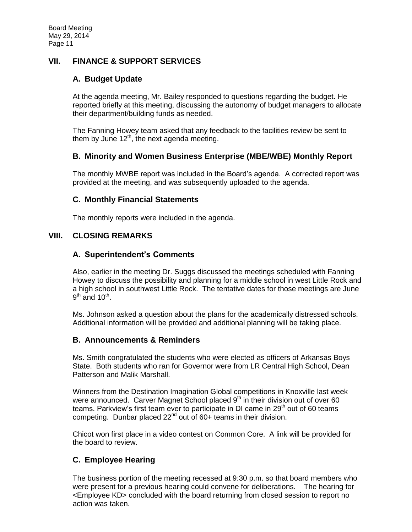# **VII. FINANCE & SUPPORT SERVICES**

### **A. Budget Update**

At the agenda meeting, Mr. Bailey responded to questions regarding the budget. He reported briefly at this meeting, discussing the autonomy of budget managers to allocate their department/building funds as needed.

The Fanning Howey team asked that any feedback to the facilities review be sent to them by June  $12<sup>th</sup>$ , the next agenda meeting.

### **B. Minority and Women Business Enterprise (MBE/WBE) Monthly Report**

The monthly MWBE report was included in the Board's agenda. A corrected report was provided at the meeting, and was subsequently uploaded to the agenda.

### **C. Monthly Financial Statements**

The monthly reports were included in the agenda.

### **VIII. CLOSING REMARKS**

### **A. Superintendent's Comments**

Also, earlier in the meeting Dr. Suggs discussed the meetings scheduled with Fanning Howey to discuss the possibility and planning for a middle school in west Little Rock and a high school in southwest Little Rock. The tentative dates for those meetings are June  $9<sup>th</sup>$  and 10<sup>th</sup>.

Ms. Johnson asked a question about the plans for the academically distressed schools. Additional information will be provided and additional planning will be taking place.

### **B. Announcements & Reminders**

Ms. Smith congratulated the students who were elected as officers of Arkansas Boys State. Both students who ran for Governor were from LR Central High School, Dean Patterson and Malik Marshall.

Winners from the Destination Imagination Global competitions in Knoxville last week were announced. Carver Magnet School placed  $9<sup>th</sup>$  in their division out of over 60 teams. Parkview's first team ever to participate in DI came in 29<sup>th</sup> out of 60 teams competing. Dunbar placed  $22^{nd}$  out of 60+ teams in their division.

Chicot won first place in a video contest on Common Core. A link will be provided for the board to review.

# **C. Employee Hearing**

The business portion of the meeting recessed at 9:30 p.m. so that board members who were present for a previous hearing could convene for deliberations. The hearing for <Employee KD> concluded with the board returning from closed session to report no action was taken.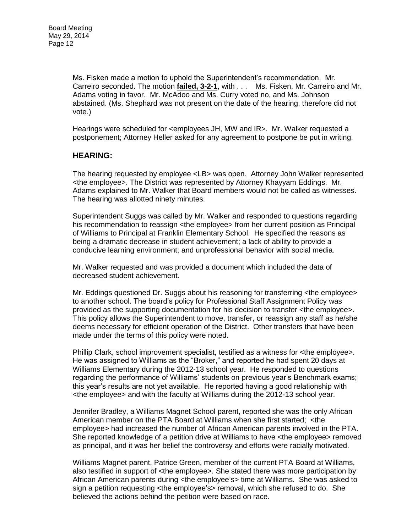Ms. Fisken made a motion to uphold the Superintendent's recommendation. Mr. Carreiro seconded. The motion **failed, 3-2-1**, with . . . Ms. Fisken, Mr. Carreiro and Mr. Adams voting in favor. Mr. McAdoo and Ms. Curry voted no, and Ms. Johnson abstained. (Ms. Shephard was not present on the date of the hearing, therefore did not vote.)

Hearings were scheduled for <employees JH, MW and IR>. Mr. Walker requested a postponement; Attorney Heller asked for any agreement to postpone be put in writing.

# **HEARING:**

The hearing requested by employee <LB> was open. Attorney John Walker represented <the employee>. The District was represented by Attorney Khayyam Eddings. Mr. Adams explained to Mr. Walker that Board members would not be called as witnesses. The hearing was allotted ninety minutes.

Superintendent Suggs was called by Mr. Walker and responded to questions regarding his recommendation to reassign <the employee> from her current position as Principal of Williams to Principal at Franklin Elementary School. He specified the reasons as being a dramatic decrease in student achievement; a lack of ability to provide a conducive learning environment; and unprofessional behavior with social media.

Mr. Walker requested and was provided a document which included the data of decreased student achievement.

Mr. Eddings questioned Dr. Suggs about his reasoning for transferring <the employee> to another school. The board's policy for Professional Staff Assignment Policy was provided as the supporting documentation for his decision to transfer <the employee>. This policy allows the Superintendent to move, transfer, or reassign any staff as he/she deems necessary for efficient operation of the District. Other transfers that have been made under the terms of this policy were noted.

Phillip Clark, school improvement specialist, testified as a witness for <the employee>. He was assigned to Williams as the "Broker," and reported he had spent 20 days at Williams Elementary during the 2012-13 school year. He responded to questions regarding the performance of Williams' students on previous year's Benchmark exams; this year's results are not yet available. He reported having a good relationship with <the employee> and with the faculty at Williams during the 2012-13 school year.

Jennifer Bradley, a Williams Magnet School parent, reported she was the only African American member on the PTA Board at Williams when she first started; <the employee> had increased the number of African American parents involved in the PTA. She reported knowledge of a petition drive at Williams to have <the employee> removed as principal, and it was her belief the controversy and efforts were racially motivated.

Williams Magnet parent, Patrice Green, member of the current PTA Board at Williams, also testified in support of <the employee>. She stated there was more participation by African American parents during <the employee's> time at Williams. She was asked to sign a petition requesting <the employee's> removal, which she refused to do. She believed the actions behind the petition were based on race.